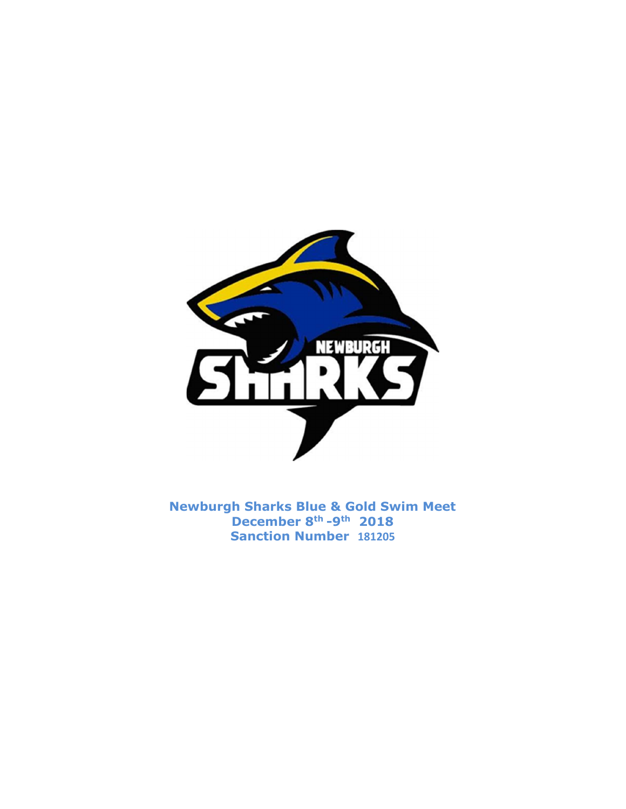

Newburgh Sharks Blue & Gold Swim Meet December 8th -9th 2018 Sanction Number 181205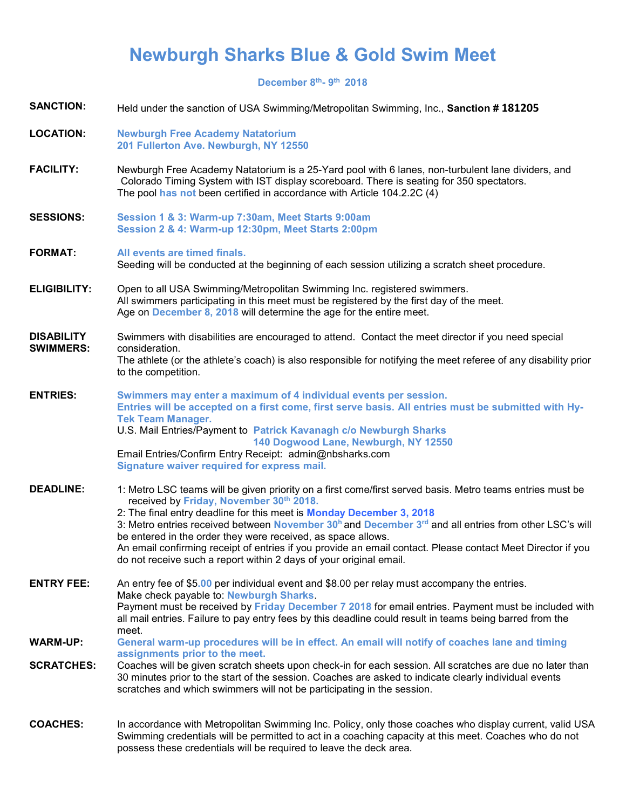# Newburgh Sharks Blue & Gold Swim Meet

December 8<sup>th</sup>- 9<sup>th</sup> 2018

| <b>SANCTION:</b>                      | Held under the sanction of USA Swimming/Metropolitan Swimming, Inc., Sanction #181205                                                                                                                                                                                                                                                                                                                                                                                                                                                                                                                              |
|---------------------------------------|--------------------------------------------------------------------------------------------------------------------------------------------------------------------------------------------------------------------------------------------------------------------------------------------------------------------------------------------------------------------------------------------------------------------------------------------------------------------------------------------------------------------------------------------------------------------------------------------------------------------|
| <b>LOCATION:</b>                      | <b>Newburgh Free Academy Natatorium</b><br>201 Fullerton Ave. Newburgh, NY 12550                                                                                                                                                                                                                                                                                                                                                                                                                                                                                                                                   |
| <b>FACILITY:</b>                      | Newburgh Free Academy Natatorium is a 25-Yard pool with 6 lanes, non-turbulent lane dividers, and<br>Colorado Timing System with IST display scoreboard. There is seating for 350 spectators.<br>The pool has not been certified in accordance with Article 104.2.2C (4)                                                                                                                                                                                                                                                                                                                                           |
| <b>SESSIONS:</b>                      | Session 1 & 3: Warm-up 7:30am, Meet Starts 9:00am<br>Session 2 & 4: Warm-up 12:30pm, Meet Starts 2:00pm                                                                                                                                                                                                                                                                                                                                                                                                                                                                                                            |
| <b>FORMAT:</b>                        | All events are timed finals.<br>Seeding will be conducted at the beginning of each session utilizing a scratch sheet procedure.                                                                                                                                                                                                                                                                                                                                                                                                                                                                                    |
| <b>ELIGIBILITY:</b>                   | Open to all USA Swimming/Metropolitan Swimming Inc. registered swimmers.<br>All swimmers participating in this meet must be registered by the first day of the meet.<br>Age on December 8, 2018 will determine the age for the entire meet.                                                                                                                                                                                                                                                                                                                                                                        |
| <b>DISABILITY</b><br><b>SWIMMERS:</b> | Swimmers with disabilities are encouraged to attend. Contact the meet director if you need special<br>consideration.<br>The athlete (or the athlete's coach) is also responsible for notifying the meet referee of any disability prior<br>to the competition.                                                                                                                                                                                                                                                                                                                                                     |
| <b>ENTRIES:</b>                       | Swimmers may enter a maximum of 4 individual events per session.<br>Entries will be accepted on a first come, first serve basis. All entries must be submitted with Hy-<br><b>Tek Team Manager.</b><br>U.S. Mail Entries/Payment to Patrick Kavanagh c/o Newburgh Sharks<br>140 Dogwood Lane, Newburgh, NY 12550<br>Email Entries/Confirm Entry Receipt: admin@nbsharks.com<br>Signature waiver required for express mail.                                                                                                                                                                                         |
| <b>DEADLINE:</b>                      | 1: Metro LSC teams will be given priority on a first come/first served basis. Metro teams entries must be<br>received by Friday, November 30th 2018.<br>2: The final entry deadline for this meet is Monday December 3, 2018<br>3: Metro entries received between November 30 <sup>h</sup> and December 3 <sup>rd</sup> and all entries from other LSC's will<br>be entered in the order they were received, as space allows.<br>An email confirming receipt of entries if you provide an email contact. Please contact Meet Director if you<br>do not receive such a report within 2 days of your original email. |
| <b>ENTRY FEE:</b>                     | An entry fee of \$5.00 per individual event and \$8.00 per relay must accompany the entries.<br>Make check payable to: Newburgh Sharks.<br>Payment must be received by Friday December 7 2018 for email entries. Payment must be included with<br>all mail entries. Failure to pay entry fees by this deadline could result in teams being barred from the                                                                                                                                                                                                                                                         |
| <b>WARM-UP:</b>                       | meet.<br>General warm-up procedures will be in effect. An email will notify of coaches lane and timing                                                                                                                                                                                                                                                                                                                                                                                                                                                                                                             |
| <b>SCRATCHES:</b>                     | assignments prior to the meet.<br>Coaches will be given scratch sheets upon check-in for each session. All scratches are due no later than<br>30 minutes prior to the start of the session. Coaches are asked to indicate clearly individual events<br>scratches and which swimmers will not be participating in the session.                                                                                                                                                                                                                                                                                      |
| <b>COACHES:</b>                       | In accordance with Metropolitan Swimming Inc. Policy, only those coaches who display current, valid USA<br>Swimming credentials will be permitted to act in a coaching capacity at this meet. Coaches who do not                                                                                                                                                                                                                                                                                                                                                                                                   |

possess these credentials will be required to leave the deck area.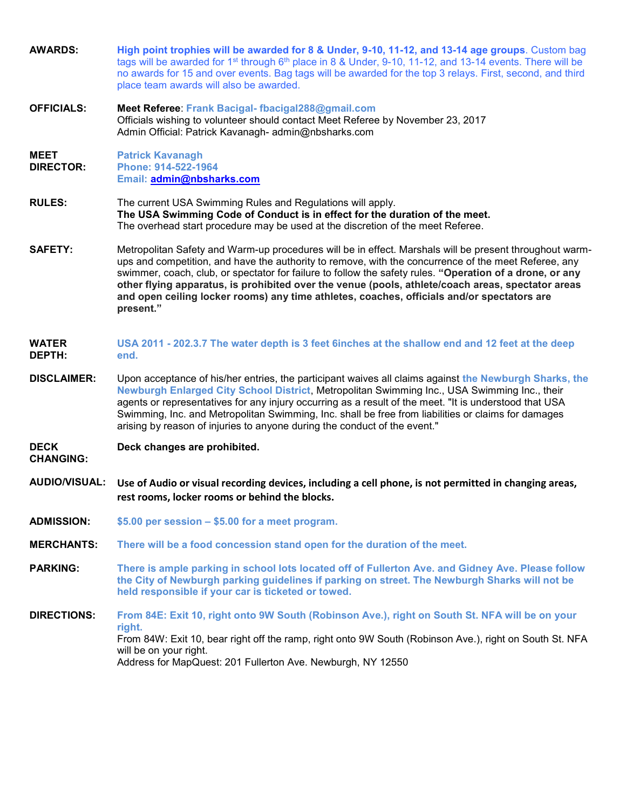| <b>AWARDS:</b>                  | High point trophies will be awarded for 8 & Under, 9-10, 11-12, and 13-14 age groups. Custom bag<br>tags will be awarded for 1 <sup>st</sup> through 6 <sup>th</sup> place in 8 & Under, 9-10, 11-12, and 13-14 events. There will be<br>no awards for 15 and over events. Bag tags will be awarded for the top 3 relays. First, second, and third<br>place team awards will also be awarded.                                                                                                                                               |
|---------------------------------|---------------------------------------------------------------------------------------------------------------------------------------------------------------------------------------------------------------------------------------------------------------------------------------------------------------------------------------------------------------------------------------------------------------------------------------------------------------------------------------------------------------------------------------------|
| <b>OFFICIALS:</b>               | Meet Referee: Frank Bacigal- fbacigal288@gmail.com<br>Officials wishing to volunteer should contact Meet Referee by November 23, 2017<br>Admin Official: Patrick Kavanagh- admin@nbsharks.com                                                                                                                                                                                                                                                                                                                                               |
| <b>MEET</b><br><b>DIRECTOR:</b> | <b>Patrick Kavanagh</b><br>Phone: 914-522-1964<br>Email: admin@nbsharks.com                                                                                                                                                                                                                                                                                                                                                                                                                                                                 |
| <b>RULES:</b>                   | The current USA Swimming Rules and Regulations will apply.<br>The USA Swimming Code of Conduct is in effect for the duration of the meet.<br>The overhead start procedure may be used at the discretion of the meet Referee.                                                                                                                                                                                                                                                                                                                |
| <b>SAFETY:</b>                  | Metropolitan Safety and Warm-up procedures will be in effect. Marshals will be present throughout warm-<br>ups and competition, and have the authority to remove, with the concurrence of the meet Referee, any<br>swimmer, coach, club, or spectator for failure to follow the safety rules. "Operation of a drone, or any<br>other flying apparatus, is prohibited over the venue (pools, athlete/coach areas, spectator areas<br>and open ceiling locker rooms) any time athletes, coaches, officials and/or spectators are<br>present." |
| <b>WATER</b><br>DEPTH:          | USA 2011 - 202.3.7 The water depth is 3 feet 6inches at the shallow end and 12 feet at the deep<br>end.                                                                                                                                                                                                                                                                                                                                                                                                                                     |
| <b>DISCLAIMER:</b>              | Upon acceptance of his/her entries, the participant waives all claims against the Newburgh Sharks, the<br>Newburgh Enlarged City School District, Metropolitan Swimming Inc., USA Swimming Inc., their<br>agents or representatives for any injury occurring as a result of the meet. "It is understood that USA<br>Swimming, Inc. and Metropolitan Swimming, Inc. shall be free from liabilities or claims for damages<br>arising by reason of injuries to anyone during the conduct of the event."                                        |
| <b>DECK</b><br><b>CHANGING:</b> | Deck changes are prohibited.                                                                                                                                                                                                                                                                                                                                                                                                                                                                                                                |
| <b>AUDIO/VISUAL:</b>            | Use of Audio or visual recording devices, including a cell phone, is not permitted in changing areas,<br>rest rooms, locker rooms or behind the blocks.                                                                                                                                                                                                                                                                                                                                                                                     |
| <b>ADMISSION:</b>               | \$5.00 per session - \$5.00 for a meet program.                                                                                                                                                                                                                                                                                                                                                                                                                                                                                             |
| <b>MERCHANTS:</b>               | There will be a food concession stand open for the duration of the meet.                                                                                                                                                                                                                                                                                                                                                                                                                                                                    |
| <b>PARKING:</b>                 | There is ample parking in school lots located off of Fullerton Ave. and Gidney Ave. Please follow<br>the City of Newburgh parking guidelines if parking on street. The Newburgh Sharks will not be<br>held responsible if your car is ticketed or towed.                                                                                                                                                                                                                                                                                    |
| <b>DIRECTIONS:</b>              | From 84E: Exit 10, right onto 9W South (Robinson Ave.), right on South St. NFA will be on your<br>right.<br>From 84W: Exit 10, bear right off the ramp, right onto 9W South (Robinson Ave.), right on South St. NFA<br>will be on your right.<br>Address for MapQuest: 201 Fullerton Ave. Newburgh, NY 12550                                                                                                                                                                                                                                |